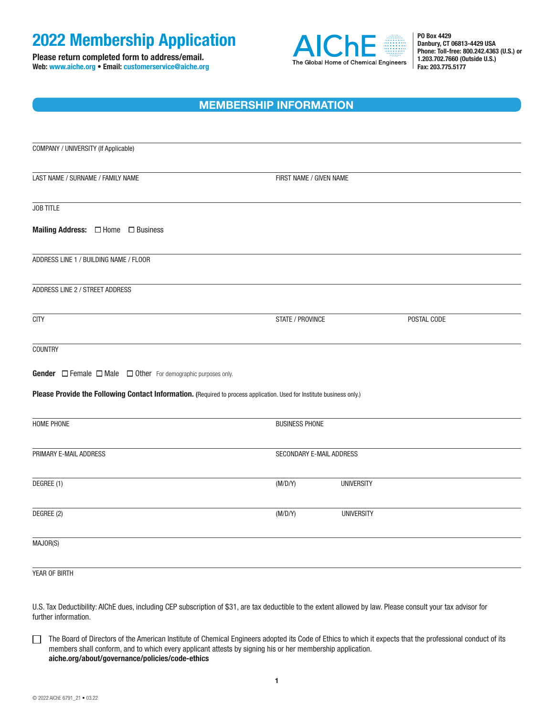## **2022 Membership Application**

**Please return completed form to address/email. Web: www.aiche.org • Email: customerservice@aiche.org**



**PO Box 4429 Danbury, CT 06813-4429 USA Phone: Toll-free: 800.242.4363 (U.S.) or 1.203.702.7660 (Outside U.S.) Fax: 203.775.5177**

### **MEMBERSHIP INFORMATION**

| COMPANY / UNIVERSITY (If Applicable)                                                                                   |                          |                   |  |  |  |  |
|------------------------------------------------------------------------------------------------------------------------|--------------------------|-------------------|--|--|--|--|
| LAST NAME / SURNAME / FAMILY NAME                                                                                      | FIRST NAME / GIVEN NAME  |                   |  |  |  |  |
| JOB TITLE                                                                                                              |                          |                   |  |  |  |  |
| <b>Mailing Address:</b> □ Home □ Business                                                                              |                          |                   |  |  |  |  |
| ADDRESS LINE 1 / BUILDING NAME / FLOOR                                                                                 |                          |                   |  |  |  |  |
| ADDRESS LINE 2 / STREET ADDRESS                                                                                        |                          |                   |  |  |  |  |
| <b>CITY</b>                                                                                                            | STATE / PROVINCE         | POSTAL CODE       |  |  |  |  |
| COUNTRY                                                                                                                |                          |                   |  |  |  |  |
| <b>Gender</b> $\Box$ Female $\Box$ Male $\Box$ Other For demographic purposes only.                                    |                          |                   |  |  |  |  |
| Please Provide the Following Contact Information. (Required to process application. Used for Institute business only.) |                          |                   |  |  |  |  |
| HOME PHONE                                                                                                             | <b>BUSINESS PHONE</b>    |                   |  |  |  |  |
| PRIMARY E-MAIL ADDRESS                                                                                                 | SECONDARY E-MAIL ADDRESS |                   |  |  |  |  |
| DEGREE (1)                                                                                                             | (M/D/Y)                  | <b>UNIVERSITY</b> |  |  |  |  |
| DEGREE (2)                                                                                                             | (M/D/Y)                  | <b>UNIVERSITY</b> |  |  |  |  |
| MAJOR(S)                                                                                                               |                          |                   |  |  |  |  |
| YEAR OF BIRTH                                                                                                          |                          |                   |  |  |  |  |

U.S. Tax Deductibility: AIChE dues, including CEP subscription of \$31, are tax deductible to the extent allowed by law. Please consult your tax advisor for further information.

The Board of Directors of the American Institute of Chemical Engineers adopted its Code of Ethics to which it expects that the professional conduct of its members shall conform, and to which every applicant attests by signing his or her membership application. **[aiche.org/about/governance/policies/code-ethics](http://www.aiche.org/about/governance/policies/code-ethics)**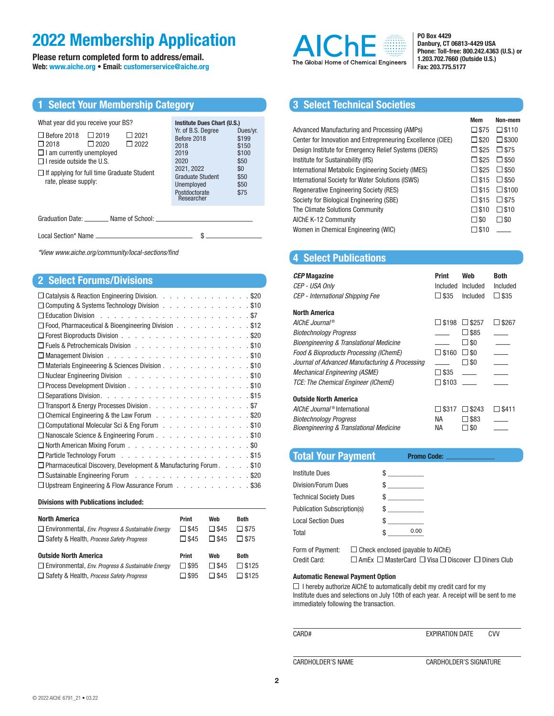## **2022 Membership Application**

**Please return completed form to address/email. Web: www.aiche.org • Email: customerservice@aiche.org**

| <b>1 Select Your Membership Category</b>                                                                                                                                                                                                                                                    |                                                                                                                                                                                |                                                                            |
|---------------------------------------------------------------------------------------------------------------------------------------------------------------------------------------------------------------------------------------------------------------------------------------------|--------------------------------------------------------------------------------------------------------------------------------------------------------------------------------|----------------------------------------------------------------------------|
| What year did you receive your BS?<br>$\Box$ Before 2018<br>$\Box$ 2019<br>$\Box$ 2021<br>$\Box$ 2022<br>$\square$ 2018<br>$\Box$ 2020<br>$\Box$ I am currently unemployed<br>$\Box$ I reside outside the U.S.<br>$\Box$ If applying for full time Graduate Student<br>rate, please supply: | Institute Dues Chart (U.S.)<br>Yr. of B.S. Degree<br>Before 2018<br>2018<br>2019<br>2020<br>2021, 2022<br><b>Graduate Student</b><br>Unemployed<br>Postdoctorate<br>Researcher | Dues/yr.<br>\$199<br>\$150<br>\$100<br>\$50<br>\$0<br>\$50<br>\$50<br>\$75 |

Graduation Date: \_\_\_\_\_\_\_\_ Name of School: \_

Local Section\* Name \$

*\*View [www.aiche.org/community/local-sections/find](http://www.aiche.org/community/local-sections/find)* 

#### **2 Select Forums/Divisions**

| $\Box$ Catalysis & Reaction Engineering Division. \$20                                             |
|----------------------------------------------------------------------------------------------------|
| Computing & Systems Technology Division \$10                                                       |
|                                                                                                    |
| □ Food, Pharmaceutical & Bioengineering Division \$12                                              |
|                                                                                                    |
| □ Fuels & Petrochemicals Division \$10                                                             |
|                                                                                                    |
| □ Materials Engineeering & Sciences Division \$10                                                  |
| □ Nuclear Engineering Division (Busing Records) (Busing Records) (Busing Records) (Busing Records) |
|                                                                                                    |
|                                                                                                    |
| □ Transport & Energy Processes Division \$7                                                        |
| Chemical Engineering & the Law Forum \$20                                                          |
| Computational Molecular Sci & Eng Forum \$10                                                       |
| □ Nanoscale Science & Engineering Forum \$10                                                       |
|                                                                                                    |
|                                                                                                    |
| $\Box$ Pharmaceutical Discovery, Development & Manufacturing Forum $\ldots$ \$10                   |
| □ Sustainable Engineering Forum \$20                                                               |
| $\Box$ Upstream Engineering & Flow Assurance Forum $\ldots$<br>. \$36                              |

#### **Divisions with Publications included:**

| <b>North America</b>                                                | <b>Print</b>   | Web            | <b>Both</b>    |
|---------------------------------------------------------------------|----------------|----------------|----------------|
| $\Box$ Environmental, <i>Env. Progress &amp; Sustainable Energy</i> | $\square$ \$45 | $\square$ \$45 | $\square$ \$75 |
| $\Box$ Safety & Health, <i>Process Safety Progress</i>              | $\Box$ \$45    | $\Box$ \$45    | $\Box$ \$75    |
| <b>Outside North America</b>                                        | <b>Print</b>   | Web            | <b>Both</b>    |
| $\Box$ Environmental, <i>Env. Progress &amp; Sustainable Energy</i> | $\Box$ \$95    | $\square$ \$45 | $\Box$ \$125   |
| $\Box$ Safety & Health, <i>Process Safety Progress</i>              | $\square$ \$95 | $\Box$ \$45    | $\Box$ \$125   |



**PO Box 4429 Danbury, CT 06813-4429 USA Phone: Toll-free: 800.242.4363 (U.S.) or 1.203.702.7660 (Outside U.S.) Fax: 203.775.5177**

**Mem Non-mem**

#### **3 Select Technical Societies**

|                                                             | <b>IVICIII</b> | <b>NULL-LITELLI</b> |
|-------------------------------------------------------------|----------------|---------------------|
| Advanced Manufacturing and Processing (AMPs)                | $\square$ \$75 | $\square$ \$110     |
| Center for Innovation and Entrepreneuring Excellence (CIEE) | $\square$ \$20 | $\square$ \$300     |
| Design Institute for Emergency Relief Systems (DIERS)       | $\square$ \$25 | $\square$ \$75      |
| Institute for Sustainability (IfS)                          | $\square$ \$25 | $\square$ \$50      |
| International Metabolic Engineering Society (IMES)          | $\Box$ \$25    | $\square$ \$50      |
| International Society for Water Solutions (ISWS)            | $\square$ \$15 | $\square$ \$50      |
| Regenerative Engineering Society (RES)                      | $\square$ \$15 | $\square$ \$100     |
| Society for Biological Engineering (SBE)                    | $\square$ \$15 | $\square$ \$75      |
| The Climate Solutions Community                             | $\square$ \$10 | $\square$ \$10      |
| AIChE K-12 Community                                        | $\square$ \$0  | $\square$ SO        |
| Women in Chemical Engineering (WIC)                         | $\square$ \$10 |                     |
|                                                             |                |                     |

#### **4 Select Publications**

| <b>CEP Magazine</b><br>CEP - USA Only<br>CEP - International Shipping Fee | Print<br>Included<br>$\square$ \$35 | Web<br>Included<br>Included | Both<br>Included<br>□ \$35 |
|---------------------------------------------------------------------------|-------------------------------------|-----------------------------|----------------------------|
| <b>North America</b>                                                      |                                     |                             |                            |
| AIChE Journal®                                                            | $\Box$ \$198                        | $\Box$ \$257                | $\square$ \$267            |
| <b>Biotechnology Progress</b>                                             |                                     | $\square$ \$85              |                            |
| <b>Bioengineering &amp; Translational Medicine</b>                        |                                     | $\square$ so                |                            |
| Food & Bioproducts Processing (IChemE)                                    | $\square$ \$160                     | $\square$ \$0               |                            |
| Journal of Advanced Manufacturing & Processing                            |                                     | $\square$ \$0               |                            |
| Mechanical Engineering (ASME)                                             | □ \$35                              |                             |                            |
| TCE: The Chemical Engineer (IChemE)                                       | $\square$ \$103                     |                             |                            |
| <b>Outside North America</b>                                              |                                     |                             |                            |
| AIChE Journal <sup>®</sup> International                                  | $\square$ \$317                     | $\Box$ \$243                | □ \$411                    |
| <b>Biotechnology Progress</b>                                             | NА                                  | \$83                        |                            |
| Bioengineering & Translational Medicine                                   | NА                                  | \$0                         |                            |

#### **Total Your Payment Promo Code:**

| Institute Dues                     | and the company         |
|------------------------------------|-------------------------|
| Division/Forum Dues                |                         |
| <b>Technical Society Dues</b>      | the control of the con- |
| <b>Publication Subscription(s)</b> | $\sim$                  |
| <b>Local Section Dues</b>          |                         |
| Total                              | 0.00                    |
|                                    |                         |

Form of Payment:  $\square$  Check enclosed (payable to AIChE) Credit Card:  $\square$  AmEx  $\square$  MasterCard  $\square$  Visa  $\square$  Discover  $\square$  Diners Club

#### **Automatic Renewal Payment Option**

 $\Box$  I hereby authorize AIChE to automatically debit my credit card for my Institute dues and selections on July 10th of each year. A receipt will be sent to me immediately following the transaction.

CARDHOLDER'S NAME CARDHOLDER'S SIGNATURE

**2**